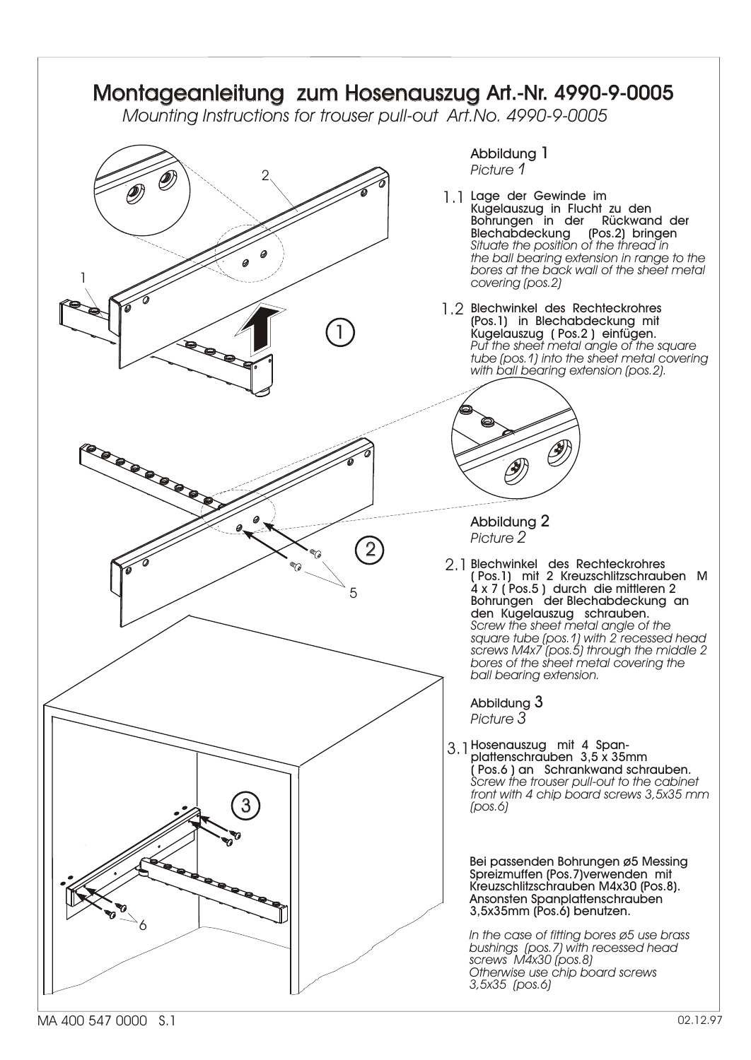

MA 400 547 0000 S.1